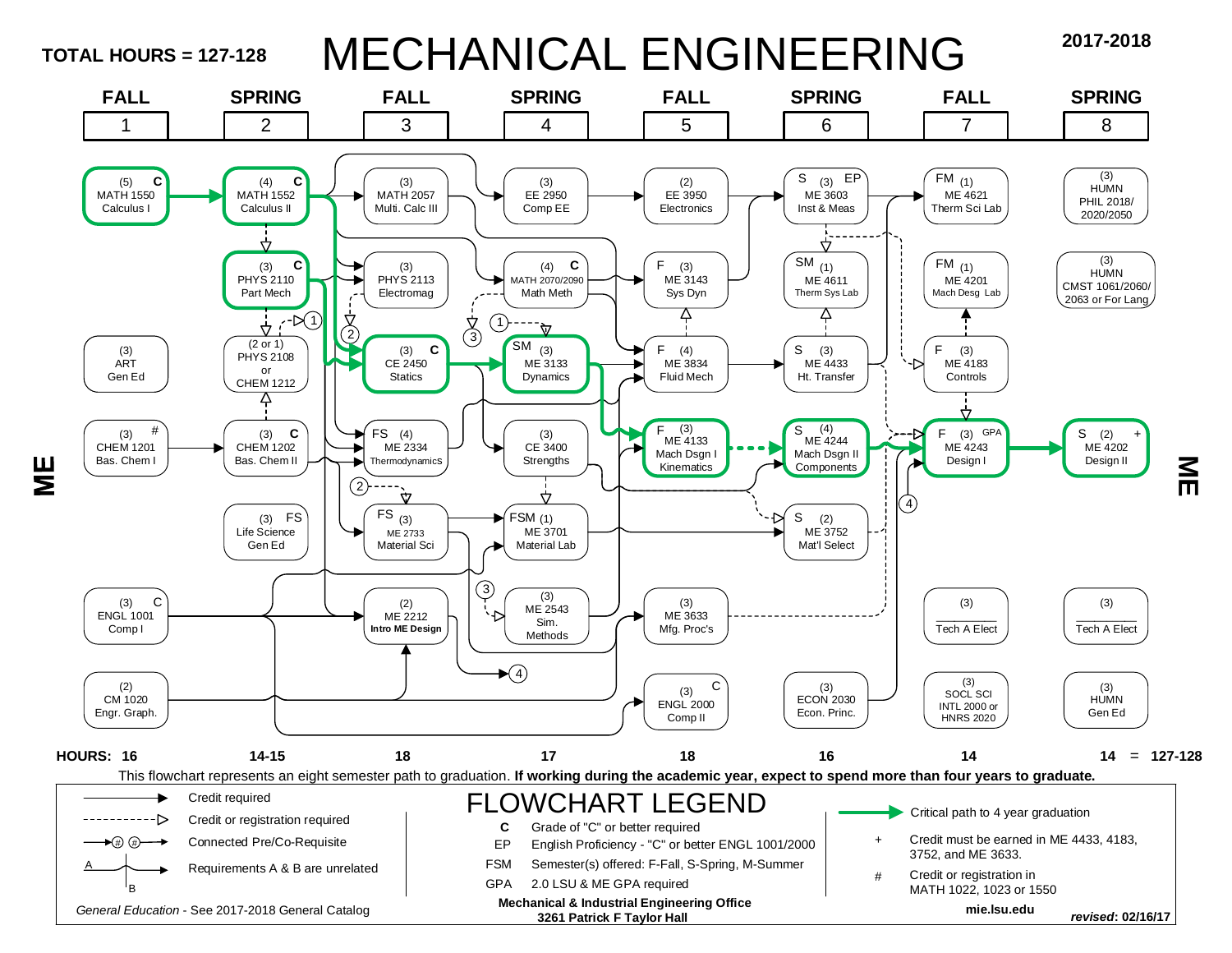**TOTAL HOURS = 127-128**

Ш<br>М

# MECHANICAL ENGINEERING **2017-2018**